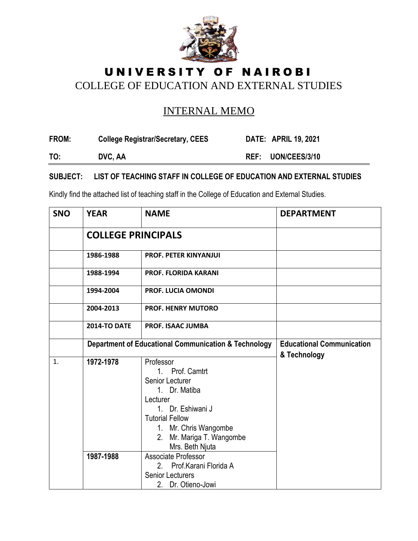

## UNIVERSITY OF NAIROBI COLLEGE OF EDUCATION AND EXTERNAL STUDIES

## INTERNAL MEMO

| FROM: | <b>College Registrar/Secretary, CEES</b> | <b>DATE: APRIL 19, 2021</b> |
|-------|------------------------------------------|-----------------------------|
| TO:   | DVC, AA                                  | REF: UON/CEES/3/10          |

## **SUBJECT: LIST OF TEACHING STAFF IN COLLEGE OF EDUCATION AND EXTERNAL STUDIES**

Kindly find the attached list of teaching staff in the College of Education and External Studies.

| <b>SNO</b> | <b>YEAR</b>               | <b>NAME</b>                                                                                                                                                                                                                                                                                               | <b>DEPARTMENT</b>                                |
|------------|---------------------------|-----------------------------------------------------------------------------------------------------------------------------------------------------------------------------------------------------------------------------------------------------------------------------------------------------------|--------------------------------------------------|
|            | <b>COLLEGE PRINCIPALS</b> |                                                                                                                                                                                                                                                                                                           |                                                  |
|            | 1986-1988                 | <b>PROF. PETER KINYANJUI</b>                                                                                                                                                                                                                                                                              |                                                  |
|            | 1988-1994                 | <b>PROF. FLORIDA KARANI</b>                                                                                                                                                                                                                                                                               |                                                  |
|            | 1994-2004                 | <b>PROF. LUCIA OMONDI</b>                                                                                                                                                                                                                                                                                 |                                                  |
|            | 2004-2013                 | <b>PROF. HENRY MUTORO</b>                                                                                                                                                                                                                                                                                 |                                                  |
|            | <b>2014-TO DATE</b>       | <b>PROF. ISAAC JUMBA</b>                                                                                                                                                                                                                                                                                  |                                                  |
|            |                           | <b>Department of Educational Communication &amp; Technology</b>                                                                                                                                                                                                                                           | <b>Educational Communication</b><br>& Technology |
| 1.         | 1972-1978<br>1987-1988    | Professor<br>1. Prof. Camtrt<br>Senior Lecturer<br>1. Dr. Matiba<br>Lecturer<br>1. Dr. Eshiwani J<br><b>Tutorial Fellow</b><br>1. Mr. Chris Wangombe<br>2. Mr. Mariga T. Wangombe<br>Mrs. Beth Njuta<br>Associate Professor<br>2. Prof. Karani Florida A<br><b>Senior Lecturers</b><br>2. Dr. Otieno-Jowi |                                                  |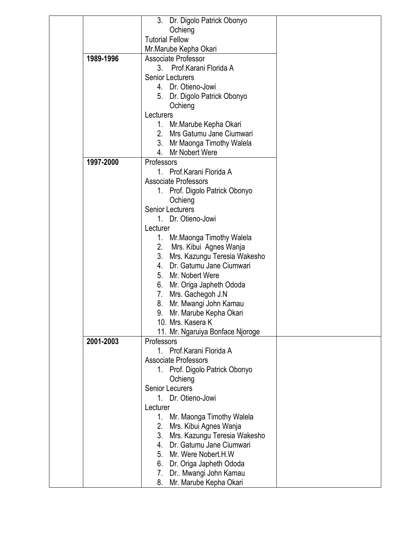|           | 3.<br>Dr. Digolo Patrick Obonyo       |  |
|-----------|---------------------------------------|--|
|           | Ochieng                               |  |
|           | <b>Tutorial Fellow</b>                |  |
|           | Mr.Marube Kepha Okari                 |  |
| 1989-1996 | Associate Professor                   |  |
|           | 3. Prof. Karani Florida A             |  |
|           | <b>Senior Lecturers</b>               |  |
|           | 4. Dr. Otieno-Jowi                    |  |
|           |                                       |  |
|           | 5. Dr. Digolo Patrick Obonyo          |  |
|           | Ochieng                               |  |
|           | Lecturers                             |  |
|           | 1. Mr. Marube Kepha Okari             |  |
|           | 2. Mrs Gatumu Jane Ciumwari           |  |
|           | 3. Mr Maonga Timothy Walela           |  |
|           | 4.<br>Mr Nobert Were                  |  |
| 1997-2000 | Professors                            |  |
|           | Prof. Karani Florida A<br>$1_{\cdot}$ |  |
|           | <b>Associate Professors</b>           |  |
|           | 1. Prof. Digolo Patrick Obonyo        |  |
|           | Ochieng                               |  |
|           | <b>Senior Lecturers</b>               |  |
|           | 1. Dr. Otieno-Jowi                    |  |
|           | Lecturer                              |  |
|           | Mr. Maonga Timothy Walela<br>1.       |  |
|           |                                       |  |
|           | 2. Mrs. Kibui Agnes Wanja             |  |
|           | 3.<br>Mrs. Kazungu Teresia Wakesho    |  |
|           | Dr. Gatumu Jane Ciumwari<br>4.        |  |
|           | 5. Mr. Nobert Were                    |  |
|           | 6.<br>Mr. Origa Japheth Ododa         |  |
|           | 7.<br>Mrs. Gachegoh J.N               |  |
|           | 8.<br>Mr. Mwangi John Kamau           |  |
|           | Mr. Marube Kepha Okari<br>9.          |  |
|           | 10. Mrs. Kasera K                     |  |
|           | 11. Mr. Ngaruiya Bonface Njoroge      |  |
| 2001-2003 | Professors                            |  |
|           | 1. Prof. Karani Florida A             |  |
|           | <b>Associate Professors</b>           |  |
|           | 1. Prof. Digolo Patrick Obonyo        |  |
|           | Ochieng                               |  |
|           | <b>Senior Lecurers</b>                |  |
|           | 1. Dr. Otieno-Jowi                    |  |
|           | Lecturer                              |  |
|           |                                       |  |
|           | 1. Mr. Maonga Timothy Walela          |  |
|           | 2.<br>Mrs. Kibui Agnes Wanja          |  |
|           | 3.<br>Mrs. Kazungu Teresia Wakesho    |  |
|           | 4. Dr. Gatumu Jane Ciumwari           |  |
|           | 5.<br>Mr. Were Nobert.H.W             |  |
|           | 6.<br>Dr. Origa Japheth Ododa         |  |
|           | 7.<br>Dr Mwangi John Kamau            |  |
|           | 8.<br>Mr. Marube Kepha Okari          |  |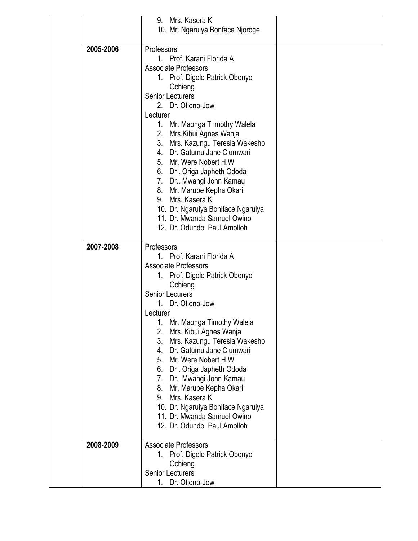|           | 9. Mrs. Kasera K                   |  |
|-----------|------------------------------------|--|
|           | 10. Mr. Ngaruiya Bonface Njoroge   |  |
|           |                                    |  |
| 2005-2006 | Professors                         |  |
|           | 1. Prof. Karani Florida A          |  |
|           | <b>Associate Professors</b>        |  |
|           | 1. Prof. Digolo Patrick Obonyo     |  |
|           | Ochieng                            |  |
|           | <b>Senior Lecturers</b>            |  |
|           | 2. Dr. Otieno-Jowi                 |  |
|           | Lecturer                           |  |
|           | 1. Mr. Maonga T imothy Walela      |  |
|           | 2. Mrs. Kibui Agnes Wanja          |  |
|           | 3. Mrs. Kazungu Teresia Wakesho    |  |
|           | 4. Dr. Gatumu Jane Ciumwari        |  |
|           | 5. Mr. Were Nobert H.W             |  |
|           | 6. Dr. Origa Japheth Ododa         |  |
|           | 7. Dr Mwangi John Kamau            |  |
|           | 8. Mr. Marube Kepha Okari          |  |
|           | 9. Mrs. Kasera K                   |  |
|           | 10. Dr. Ngaruiya Boniface Ngaruiya |  |
|           | 11. Dr. Mwanda Samuel Owino        |  |
|           | 12. Dr. Odundo Paul Amolloh        |  |
|           |                                    |  |
| 2007-2008 | Professors                         |  |
|           | 1. Prof. Karani Florida A          |  |
|           | <b>Associate Professors</b>        |  |
|           | 1. Prof. Digolo Patrick Obonyo     |  |
|           | Ochieng                            |  |
|           | <b>Senior Lecurers</b>             |  |
|           | 1. Dr. Otieno-Jowi                 |  |
|           | Lecturer                           |  |
|           | Mr. Maonga Timothy Walela<br>1.    |  |
|           | Mrs. Kibui Agnes Wanja<br>2.       |  |
|           | 3.<br>Mrs. Kazungu Teresia Wakesho |  |
|           | Dr. Gatumu Jane Ciumwari<br>4.     |  |
|           | 5. Mr. Were Nobert H.W.            |  |
|           | 6. Dr. Origa Japheth Ododa         |  |
|           | 7. Dr. Mwangi John Kamau           |  |
|           | 8. Mr. Marube Kepha Okari          |  |
|           | 9. Mrs. Kasera K                   |  |
|           | 10. Dr. Ngaruiya Boniface Ngaruiya |  |
|           | 11. Dr. Mwanda Samuel Owino        |  |
|           | 12. Dr. Odundo Paul Amolloh        |  |
| 2008-2009 | <b>Associate Professors</b>        |  |
|           |                                    |  |
|           | 1. Prof. Digolo Patrick Obonyo     |  |
|           | Ochieng<br><b>Senior Lecturers</b> |  |
|           | 1.                                 |  |
|           | Dr. Otieno-Jowi                    |  |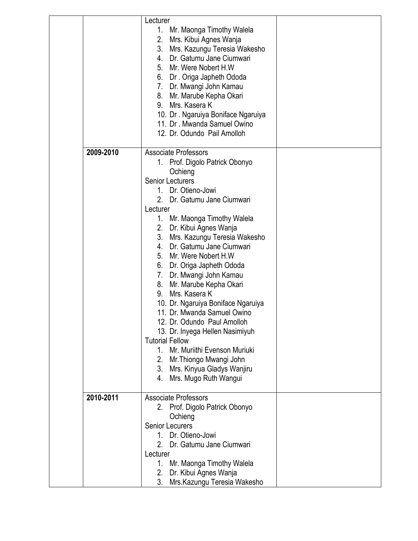|           | Lecturer<br>1. Mr. Maonga Timothy Walela<br>Mrs. Kibui Agnes Wanja<br>2.<br>3.<br>Mrs. Kazungu Teresia Wakesho<br>Dr. Gatumu Jane Ciumwari<br>4.<br>5. Mr. Were Nobert H.W<br>6. Dr. Origa Japheth Ododa<br>7. Dr. Mwangi John Kamau<br>Mr. Marube Kepha Okari<br>8.<br>Mrs. Kasera K<br>9.<br>10. Dr. Ngaruiya Boniface Ngaruiya<br>11. Dr. Mwanda Samuel Owino<br>12. Dr. Odundo Pail Amolloh                                                                                                                                                                                                                                                                                                                                                       |  |
|-----------|-------------------------------------------------------------------------------------------------------------------------------------------------------------------------------------------------------------------------------------------------------------------------------------------------------------------------------------------------------------------------------------------------------------------------------------------------------------------------------------------------------------------------------------------------------------------------------------------------------------------------------------------------------------------------------------------------------------------------------------------------------|--|
| 2009-2010 | <b>Associate Professors</b><br>1. Prof. Digolo Patrick Obonyo<br>Ochieng<br><b>Senior Lecturers</b><br>1. Dr. Otieno-Jowi<br>2. Dr. Gatumu Jane Ciumwari<br>Lecturer<br>1. Mr. Maonga Timothy Walela<br>2. Dr. Kibui Agnes Wanja<br>3. Mrs. Kazungu Teresia Wakesho<br>4. Dr. Gatumu Jane Ciumwari<br>5. Mr. Were Nobert H.W<br>6. Dr. Origa Japheth Ododa<br>7. Dr. Mwangi John Kamau<br>Mr. Marube Kepha Okari<br>8.<br>Mrs. Kasera K<br>9.<br>10. Dr. Ngaruiya Boniface Ngaruiya<br>11. Dr. Mwanda Samuel Owino<br>12. Dr. Odundo Paul Amolloh<br>13. Dr. Inyega Hellen Nasimiyuh<br><b>Tutorial Fellow</b><br>Mr. Muriithi Evenson Muriuki<br>1.<br>Mr. Thiongo Mwangi John<br>2.<br>3. Mrs. Kinyua Gladys Wanjiru<br>Mrs. Mugo Ruth Wangui<br>4. |  |
| 2010-2011 | <b>Associate Professors</b><br>2. Prof. Digolo Patrick Obonyo<br>Ochieng<br><b>Senior Lecurers</b><br>1. Dr. Otieno-Jowi<br>2. Dr. Gatumu Jane Ciumwari<br>Lecturer<br>1. Mr. Maonga Timothy Walela<br>Dr. Kibui Agnes Wanja<br>2.<br>Mrs. Kazungu Teresia Wakesho<br>3.                                                                                                                                                                                                                                                                                                                                                                                                                                                                              |  |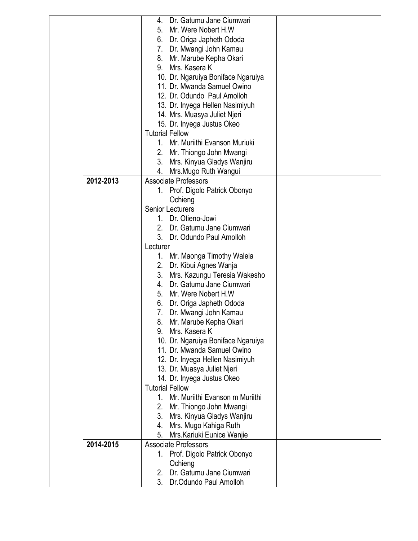|           | Dr. Gatumu Jane Ciumwari<br>4.                          |
|-----------|---------------------------------------------------------|
|           | Mr. Were Nobert H.W<br>5.                               |
|           | 6. Dr. Origa Japheth Ododa                              |
|           | 7. Dr. Mwangi John Kamau                                |
|           | 8. Mr. Marube Kepha Okari                               |
|           | 9. Mrs. Kasera K                                        |
|           | 10. Dr. Ngaruiya Boniface Ngaruiya                      |
|           | 11. Dr. Mwanda Samuel Owino                             |
|           | 12. Dr. Odundo Paul Amolloh                             |
|           | 13. Dr. Inyega Hellen Nasimiyuh                         |
|           | 14. Mrs. Muasya Juliet Njeri                            |
|           | 15. Dr. Inyega Justus Okeo                              |
|           | <b>Tutorial Fellow</b>                                  |
|           | 1. Mr. Muriithi Evanson Muriuki                         |
|           | 2. Mr. Thiongo John Mwangi                              |
|           | 3. Mrs. Kinyua Gladys Wanjiru                           |
|           |                                                         |
| 2012-2013 | 4. Mrs. Mugo Ruth Wangui<br><b>Associate Professors</b> |
|           |                                                         |
|           | 1. Prof. Digolo Patrick Obonyo                          |
|           | Ochieng                                                 |
|           | <b>Senior Lecturers</b>                                 |
|           | 1. Dr. Otieno-Jowi                                      |
|           | 2. Dr. Gatumu Jane Ciumwari                             |
|           | 3. Dr. Odundo Paul Amolloh                              |
|           | Lecturer                                                |
|           | 1. Mr. Maonga Timothy Walela                            |
|           | 2. Dr. Kibui Agnes Wanja                                |
|           | 3. Mrs. Kazungu Teresia Wakesho                         |
|           | 4. Dr. Gatumu Jane Ciumwari                             |
|           | 5. Mr. Were Nobert H.W                                  |
|           | 6.<br>Dr. Origa Japheth Ododa                           |
|           | 7. Dr. Mwangi John Kamau                                |
|           | 8.<br>Mr. Marube Kepha Okari                            |
|           | Mrs. Kasera K<br>9.                                     |
|           | 10. Dr. Ngaruiya Boniface Ngaruiya                      |
|           | 11. Dr. Mwanda Samuel Owino                             |
|           | 12. Dr. Inyega Hellen Nasimiyuh                         |
|           | 13. Dr. Muasya Juliet Njeri                             |
|           | 14. Dr. Inyega Justus Okeo                              |
|           | <b>Tutorial Fellow</b>                                  |
|           | 1. Mr. Muriithi Evanson m Muriithi                      |
|           | 2. Mr. Thiongo John Mwangi                              |
|           | Mrs. Kinyua Gladys Wanjiru<br>3.                        |
|           | Mrs. Mugo Kahiga Ruth<br>4.                             |
|           | 5.<br>Mrs.Kariuki Eunice Wanjie                         |
| 2014-2015 | <b>Associate Professors</b>                             |
|           | Prof. Digolo Patrick Obonyo<br>$1_{\cdot}$              |
|           | Ochieng                                                 |
|           | Dr. Gatumu Jane Ciumwari<br>2.                          |
|           | 3.<br>Dr.Odundo Paul Amolloh                            |
|           |                                                         |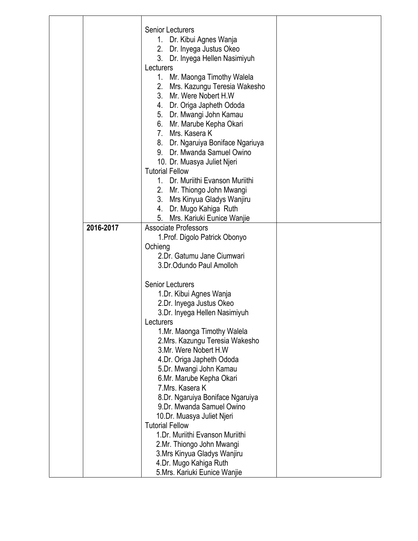|           | <b>Senior Lecturers</b><br>1. Dr. Kibui Agnes Wanja<br>2. Dr. Inyega Justus Okeo<br>3. Dr. Inyega Hellen Nasimiyuh<br>Lecturers<br>1. Mr. Maonga Timothy Walela<br>Mrs. Kazungu Teresia Wakesho<br>2.<br>3. Mr. Were Nobert H.W.<br>4. Dr. Origa Japheth Ododa<br>5. Dr. Mwangi John Kamau<br>6. Mr. Marube Kepha Okari<br>7. Mrs. Kasera K<br>8. Dr. Ngaruiya Boniface Ngariuya<br>9. Dr. Mwanda Samuel Owino<br>10. Dr. Muasya Juliet Njeri<br><b>Tutorial Fellow</b><br>Dr. Muriithi Evanson Muriithi<br>$1_{-}$<br>2. Mr. Thiongo John Mwangi<br>3. Mrs Kinyua Gladys Wanjiru<br>4. Dr. Mugo Kahiga Ruth<br>Mrs. Kariuki Eunice Wanjie<br>5. |  |
|-----------|--------------------------------------------------------------------------------------------------------------------------------------------------------------------------------------------------------------------------------------------------------------------------------------------------------------------------------------------------------------------------------------------------------------------------------------------------------------------------------------------------------------------------------------------------------------------------------------------------------------------------------------------------|--|
| 2016-2017 | <b>Associate Professors</b><br>1. Prof. Digolo Patrick Obonyo<br>Ochieng<br>2.Dr. Gatumu Jane Ciumwari<br>3.Dr.Odundo Paul Amolloh<br><b>Senior Lecturers</b><br>1.Dr. Kibui Agnes Wanja<br>2.Dr. Inyega Justus Okeo<br>3.Dr. Inyega Hellen Nasimiyuh<br>Lecturers<br>1.Mr. Maonga Timothy Walela<br>2.Mrs. Kazungu Teresia Wakesho<br>3.Mr. Were Nobert H.W.<br>4.Dr. Origa Japheth Ododa<br>5.Dr. Mwangi John Kamau<br>6.Mr. Marube Kepha Okari<br>7.Mrs. Kasera K<br>8.Dr. Ngaruiya Boniface Ngaruiya<br>9.Dr. Mwanda Samuel Owino<br>10.Dr. Muasya Juliet Njeri<br><b>Tutorial Fellow</b><br>1.Dr. Muriithi Evanson Muriithi                 |  |
|           | 2.Mr. Thiongo John Mwangi<br>3. Mrs Kinyua Gladys Wanjiru<br>4.Dr. Mugo Kahiga Ruth<br>5.Mrs. Kariuki Eunice Wanjie                                                                                                                                                                                                                                                                                                                                                                                                                                                                                                                              |  |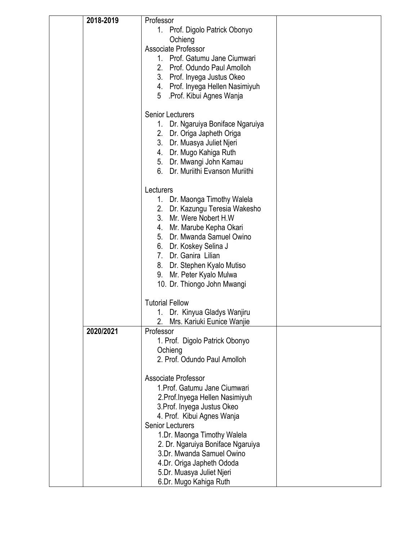| 2018-2019 | Professor                         |  |
|-----------|-----------------------------------|--|
|           | 1. Prof. Digolo Patrick Obonyo    |  |
|           | Ochieng                           |  |
|           | Associate Professor               |  |
|           | 1. Prof. Gatumu Jane Ciumwari     |  |
|           | 2. Prof. Odundo Paul Amolloh      |  |
|           | 3. Prof. Inyega Justus Okeo       |  |
|           | 4. Prof. Inyega Hellen Nasimiyuh  |  |
|           | 5 .Prof. Kibui Agnes Wanja        |  |
|           |                                   |  |
|           | <b>Senior Lecturers</b>           |  |
|           | 1. Dr. Ngaruiya Boniface Ngaruiya |  |
|           | 2. Dr. Origa Japheth Origa        |  |
|           | 3. Dr. Muasya Juliet Njeri        |  |
|           | 4. Dr. Mugo Kahiga Ruth           |  |
|           | 5. Dr. Mwangi John Kamau          |  |
|           | 6. Dr. Muriithi Evanson Muriithi  |  |
|           | Lecturers                         |  |
|           | 1. Dr. Maonga Timothy Walela      |  |
|           | 2. Dr. Kazungu Teresia Wakesho    |  |
|           | 3. Mr. Were Nobert H.W            |  |
|           | 4. Mr. Marube Kepha Okari         |  |
|           | 5. Dr. Mwanda Samuel Owino        |  |
|           | 6. Dr. Koskey Selina J            |  |
|           | 7. Dr. Ganira Lilian              |  |
|           | 8. Dr. Stephen Kyalo Mutiso       |  |
|           | 9. Mr. Peter Kyalo Mulwa          |  |
|           | 10. Dr. Thiongo John Mwangi       |  |
|           | <b>Tutorial Fellow</b>            |  |
|           | 1. Dr. Kinyua Gladys Wanjiru      |  |
|           | 2.<br>Mrs. Kariuki Eunice Wanjie  |  |
| 2020/2021 | Professor                         |  |
|           | 1. Prof. Digolo Patrick Obonyo    |  |
|           | Ochieng                           |  |
|           | 2. Prof. Odundo Paul Amolloh      |  |
|           | <b>Associate Professor</b>        |  |
|           | 1. Prof. Gatumu Jane Ciumwari     |  |
|           | 2. Prof. Inyega Hellen Nasimiyuh  |  |
|           | 3. Prof. Inyega Justus Okeo       |  |
|           | 4. Prof. Kibui Agnes Wanja        |  |
|           | <b>Senior Lecturers</b>           |  |
|           | 1.Dr. Maonga Timothy Walela       |  |
|           | 2. Dr. Ngaruiya Boniface Ngaruiya |  |
|           | 3.Dr. Mwanda Samuel Owino         |  |
|           | 4.Dr. Origa Japheth Ododa         |  |
|           | 5.Dr. Muasya Juliet Njeri         |  |
|           | 6.Dr. Mugo Kahiga Ruth            |  |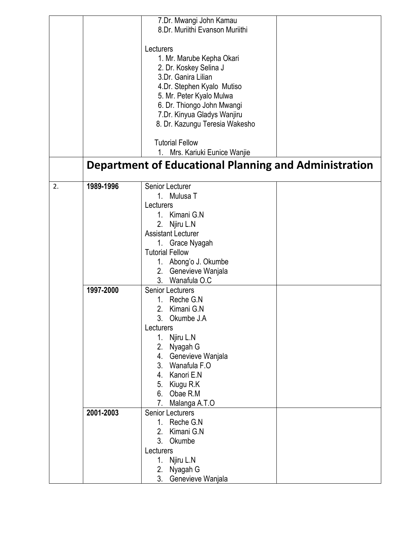|    |           | 7.Dr. Mwangi John Kamau                                      |
|----|-----------|--------------------------------------------------------------|
|    |           | 8.Dr. Muriithi Evanson Muriithi                              |
|    |           |                                                              |
|    |           | Lecturers                                                    |
|    |           | 1. Mr. Marube Kepha Okari                                    |
|    |           |                                                              |
|    |           | 2. Dr. Koskey Selina J                                       |
|    |           | 3.Dr. Ganira Lilian                                          |
|    |           | 4.Dr. Stephen Kyalo Mutiso                                   |
|    |           | 5. Mr. Peter Kyalo Mulwa                                     |
|    |           | 6. Dr. Thiongo John Mwangi                                   |
|    |           | 7.Dr. Kinyua Gladys Wanjiru                                  |
|    |           |                                                              |
|    |           | 8. Dr. Kazungu Teresia Wakesho                               |
|    |           |                                                              |
|    |           | <b>Tutorial Fellow</b>                                       |
|    |           | 1. Mrs. Kariuki Eunice Wanjie                                |
|    |           | <b>Department of Educational Planning and Administration</b> |
|    |           |                                                              |
| 2. | 1989-1996 | <b>Senior Lecturer</b>                                       |
|    |           |                                                              |
|    |           | $1_{-}$<br>Mulusa T                                          |
|    |           | Lecturers                                                    |
|    |           | 1. Kimani G.N                                                |
|    |           | Njiru L.N<br>2.                                              |
|    |           | <b>Assistant Lecturer</b>                                    |
|    |           | 1. Grace Nyagah                                              |
|    |           |                                                              |
|    |           | <b>Tutorial Fellow</b>                                       |
|    |           | Abong'o J. Okumbe<br>1.                                      |
|    |           | 2.<br>Genevieve Wanjala                                      |
|    |           | 3. Wanafula O.C                                              |
|    | 1997-2000 | <b>Senior Lecturers</b>                                      |
|    |           | Reche G.N<br>$1_{-}$                                         |
|    |           | 2.<br>Kimani G.N                                             |
|    |           | 3.                                                           |
|    |           | Okumbe J.A                                                   |
|    |           | Lecturers                                                    |
|    |           | 1. Njiru L.N                                                 |
|    |           | 2.<br>Nyagah G                                               |
|    |           | Genevieve Wanjala<br>4.                                      |
|    |           | 3. Wanafula F.O                                              |
|    |           | 4. Kanori E.N                                                |
|    |           | 5. Kiugu R.K                                                 |
|    |           |                                                              |
|    |           | 6. Obae R.M                                                  |
|    |           | 7. Malanga A.T.O                                             |
|    | 2001-2003 | <b>Senior Lecturers</b>                                      |
|    |           | Reche G.N<br>$1_{-}$                                         |
|    |           | 2.<br>Kimani G.N                                             |
|    |           | 3. Okumbe                                                    |
|    |           | Lecturers                                                    |
|    |           | 1. Njiru L.N                                                 |
|    |           | 2.<br>Nyagah G                                               |
|    |           |                                                              |
|    |           | 3.<br>Genevieve Wanjala                                      |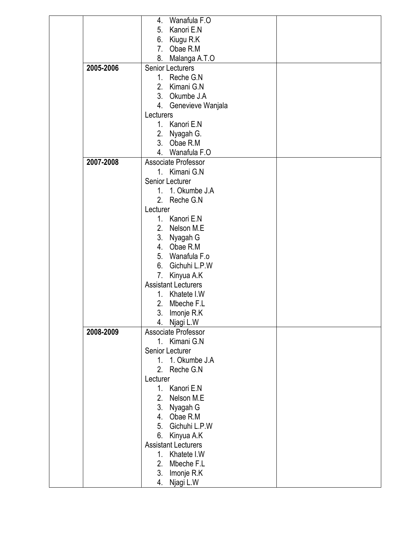|           | Wanafula F.O<br>4.           |
|-----------|------------------------------|
|           |                              |
|           | Kanori E.N<br>5.             |
|           | Kiugu R.K<br>6.              |
|           | 7. Obae R.M                  |
|           | 8. Malanga A.T.O             |
| 2005-2006 | <b>Senior Lecturers</b>      |
|           | 1. Reche G.N                 |
|           | 2. Kimani G.N                |
|           | 3. Okumbe J.A                |
|           | 4. Genevieve Wanjala         |
|           | Lecturers                    |
|           | 1. Kanori E.N                |
|           | 2. Nyagah G.                 |
|           | 3. Obae R.M                  |
|           | 4. Wanafula F.O              |
| 2007-2008 | Associate Professor          |
|           |                              |
|           | 1. Kimani G.N                |
|           | Senior Lecturer              |
|           | 1. 1. Okumbe J.A             |
|           | 2. Reche G.N                 |
|           | Lecturer                     |
|           | 1. Kanori E.N                |
|           | 2. Nelson M.E                |
|           | 3. Nyagah G                  |
|           | 4. Obae R.M                  |
|           | 5. Wanafula F.o              |
|           | 6. Gichuhi L.P.W             |
|           | 7. Kinyua A.K                |
|           | <b>Assistant Lecturers</b>   |
|           | 1. Khatete I.W               |
|           | 2. Mbeche F.L                |
|           | 3. Imonje R.K                |
|           | 4. Njagi L.W                 |
| 2008-2009 | Associate Professor          |
|           | 1. Kimani G.N                |
|           | Senior Lecturer              |
|           | 1. 1. Okumbe J.A             |
|           | 2. Reche G.N                 |
|           | Lecturer                     |
|           | Kanori E.N<br>1 <sup>1</sup> |
|           | 2.                           |
|           | Nelson M.E.                  |
|           | 3.<br>Nyagah G               |
|           | 4. Obae R.M                  |
|           | Gichuhi L.P.W<br>5.          |
|           | 6.<br>Kinyua A.K             |
|           | <b>Assistant Lecturers</b>   |
|           | Khatete I.W<br>$1_{\cdot}$   |
|           | 2.<br>Mbeche F.L             |
|           | 3.<br>Imonje R.K             |
|           | Njagi L.W<br>4.              |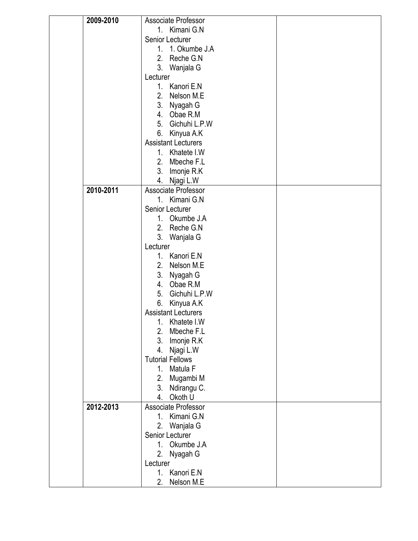| 2009-2010 | Associate Professor          |  |
|-----------|------------------------------|--|
|           | 1. Kimani G.N                |  |
|           | Senior Lecturer              |  |
|           | 1. 1. Okumbe J.A             |  |
|           | 2. Reche G.N                 |  |
|           | 3. Wanjala G                 |  |
|           | Lecturer                     |  |
|           | 1. Kanori E.N                |  |
|           | 2. Nelson M.E                |  |
|           | 3. Nyagah G                  |  |
|           | 4. Obae R.M                  |  |
|           | 5. Gichuhi L.P.W             |  |
|           | 6. Kinyua A.K                |  |
|           | <b>Assistant Lecturers</b>   |  |
|           | 1. Khatete I.W               |  |
|           | 2. Mbeche F.L                |  |
|           |                              |  |
|           | 3. Imonje R.K                |  |
|           | 4. Njagi L.W                 |  |
| 2010-2011 | Associate Professor          |  |
|           | 1. Kimani G.N                |  |
|           | Senior Lecturer              |  |
|           | 1. Okumbe J.A                |  |
|           | 2. Reche G.N                 |  |
|           | 3. Wanjala G                 |  |
|           | Lecturer                     |  |
|           | 1. Kanori E.N                |  |
|           | 2. Nelson M.E                |  |
|           | 3. Nyagah G                  |  |
|           | 4. Obae R.M                  |  |
|           | 5. Gichuhi L.P.W             |  |
|           | 6.<br>Kinyua A.K             |  |
|           | <b>Assistant Lecturers</b>   |  |
|           | 1. Khatete I.W               |  |
|           | 2.<br>Mbeche F.L             |  |
|           | 3. Imonje R.K                |  |
|           | 4. Njagi L.W                 |  |
|           | <b>Tutorial Fellows</b>      |  |
|           | 1. Matula F                  |  |
|           | 2. Mugambi M                 |  |
|           | 3. Ndirangu C.               |  |
|           | 4.<br>Okoth U                |  |
| 2012-2013 | Associate Professor          |  |
|           | 1. Kimani G.N                |  |
|           | 2. Wanjala G                 |  |
|           | Senior Lecturer              |  |
|           | 1. Okumbe J.A                |  |
|           | 2.<br>Nyagah G               |  |
|           | Lecturer                     |  |
|           | Kanori E.N<br>1 <sup>1</sup> |  |
|           | 2.<br>Nelson M.E             |  |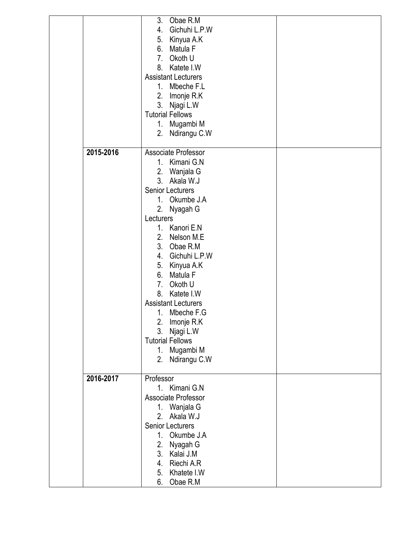|           | 3.<br>Obae R.M             |  |
|-----------|----------------------------|--|
|           | Gichuhi L.P.W<br>4.        |  |
|           | 5.<br>Kinyua A.K           |  |
|           | 6.<br>Matula F             |  |
|           | 7 <sub>1</sub><br>Okoth U  |  |
|           | 8. Katete I.W              |  |
|           | <b>Assistant Lecturers</b> |  |
|           |                            |  |
|           | 1. Mbeche F.L              |  |
|           | 2. Imonje R.K              |  |
|           | 3. Njagi L.W               |  |
|           | <b>Tutorial Fellows</b>    |  |
|           | 1. Mugambi M               |  |
|           | 2. Ndirangu C.W            |  |
|           |                            |  |
| 2015-2016 | Associate Professor        |  |
|           | 1. Kimani G.N              |  |
|           | 2. Wanjala G               |  |
|           | 3. Akala W.J               |  |
|           | <b>Senior Lecturers</b>    |  |
|           | 1. Okumbe J.A              |  |
|           | 2. Nyagah G                |  |
|           | Lecturers                  |  |
|           | 1. Kanori E.N              |  |
|           |                            |  |
|           | 2. Nelson M.E              |  |
|           | 3. Obae R.M                |  |
|           | 4. Gichuhi L.P.W           |  |
|           | 5. Kinyua A.K              |  |
|           | Matula F<br>6.             |  |
|           | 7. Okoth U                 |  |
|           | Katete I.W<br>8.           |  |
|           | <b>Assistant Lecturers</b> |  |
|           | 1. Mbeche F.G              |  |
|           | 2. Imonje R.K              |  |
|           | 3.<br>Njagi L.W            |  |
|           | <b>Tutorial Fellows</b>    |  |
|           |                            |  |
|           | 1. Mugambi M               |  |
|           | 2. Ndirangu C.W            |  |
| 2016-2017 | Professor                  |  |
|           | 1. Kimani G.N              |  |
|           |                            |  |
|           | Associate Professor        |  |
|           | 1. Wanjala G               |  |
|           | Akala W.J<br>2.            |  |
|           | <b>Senior Lecturers</b>    |  |
|           | 1. Okumbe J.A              |  |
|           | 2.<br>Nyagah G             |  |
|           | 3.<br>Kalai J.M            |  |
|           | Riechi A.R<br>4.           |  |
|           | Khatete I.W<br>5.          |  |
|           | Obae R.M<br>6.             |  |
|           |                            |  |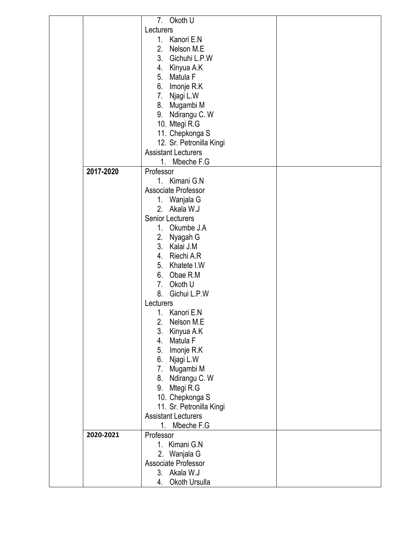|           | 7. Okoth U                 |  |
|-----------|----------------------------|--|
|           | Lecturers                  |  |
|           | 1. Kanori E.N              |  |
|           |                            |  |
|           | 2. Nelson M.E.             |  |
|           | 3. Gichuhi L.P.W           |  |
|           | 4. Kinyua A.K              |  |
|           | 5. Matula F                |  |
|           |                            |  |
|           | 6. Imonje R.K              |  |
|           | 7. Njagi L.W               |  |
|           | 8. Mugambi M               |  |
|           | 9. Ndirangu C. W           |  |
|           |                            |  |
|           | 10. Mtegi R.G              |  |
|           | 11. Chepkonga S            |  |
|           | 12. Sr. Petronilla Kingi   |  |
|           | <b>Assistant Lecturers</b> |  |
|           | 1. Mbeche F.G              |  |
| 2017-2020 | Professor                  |  |
|           |                            |  |
|           | 1. Kimani G.N              |  |
|           | Associate Professor        |  |
|           | 1. Wanjala G               |  |
|           | 2. Akala W.J               |  |
|           | <b>Senior Lecturers</b>    |  |
|           | 1. Okumbe J.A              |  |
|           |                            |  |
|           | 2. Nyagah G                |  |
|           | 3. Kalai J.M               |  |
|           | 4. Riechi A.R              |  |
|           | 5. Khatete I.W             |  |
|           | 6. Obae R.M                |  |
|           |                            |  |
|           | 7. Okoth U                 |  |
|           | 8. Gichui L.P.W            |  |
|           | Lecturers                  |  |
|           | 1. Kanori E.N              |  |
|           | 2.<br>Nelson M.E.          |  |
|           | 3.<br>Kinyua A.K           |  |
|           |                            |  |
|           | 4.<br>Matula F             |  |
|           | 5.<br>Imonje R.K           |  |
|           | 6. Njagi L.W               |  |
|           | 7. Mugambi M               |  |
|           | 8. Ndirangu C. W           |  |
|           |                            |  |
|           | 9. Mtegi R.G               |  |
|           | 10. Chepkonga S            |  |
|           | 11. Sr. Petronilla Kingi   |  |
|           | <b>Assistant Lecturers</b> |  |
|           | 1. Mbeche F.G              |  |
| 2020-2021 | Professor                  |  |
|           | 1. Kimani G.N              |  |
|           |                            |  |
|           | 2. Wanjala G               |  |
|           | Associate Professor        |  |
|           | 3. Akala W.J               |  |
|           | Okoth Ursulla<br>4.        |  |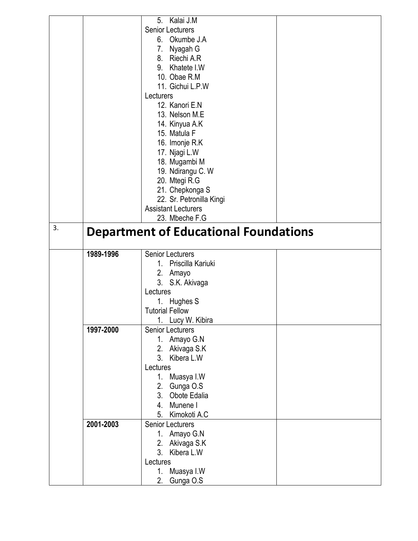|    |           | Kalai J.M<br>5.                              |  |
|----|-----------|----------------------------------------------|--|
|    |           | <b>Senior Lecturers</b>                      |  |
|    |           | 6. Okumbe J.A                                |  |
|    |           | 7. Nyagah G                                  |  |
|    |           | Riechi A.R<br>8.                             |  |
|    |           | 9. Khatete I.W                               |  |
|    |           | 10. Obae R.M                                 |  |
|    |           |                                              |  |
|    |           | 11. Gichui L.P.W                             |  |
|    |           | Lecturers                                    |  |
|    |           | 12. Kanori E.N                               |  |
|    |           | 13. Nelson M.E                               |  |
|    |           | 14. Kinyua A.K                               |  |
|    |           | 15. Matula F                                 |  |
|    |           | 16. Imonje R.K                               |  |
|    |           | 17. Njagi L.W                                |  |
|    |           | 18. Mugambi M                                |  |
|    |           | 19. Ndirangu C. W                            |  |
|    |           | 20. Mtegi R.G                                |  |
|    |           | 21. Chepkonga S                              |  |
|    |           | 22. Sr. Petronilla Kingi                     |  |
|    |           | <b>Assistant Lecturers</b>                   |  |
|    |           | 23. Mbeche F.G                               |  |
| 3. |           | <b>Department of Educational Foundations</b> |  |
|    |           |                                              |  |
|    | 1989-1996 | <b>Senior Lecturers</b>                      |  |
|    |           |                                              |  |
|    |           | 1. Priscilla Kariuki                         |  |
|    |           | 2. Amayo                                     |  |
|    |           | 3. S.K. Akivaga                              |  |
|    |           | Lectures                                     |  |
|    |           | 1.<br>Hughes S                               |  |
|    |           | <b>Tutorial Fellow</b>                       |  |
|    |           | 1. Lucy W. Kibira                            |  |
|    | 1997-2000 | <b>Senior Lecturers</b>                      |  |
|    |           | Amayo G.N<br>1.                              |  |
|    |           | Akivaga S.K<br>2.                            |  |
|    |           | 3 <sub>1</sub><br>Kibera L.W                 |  |
|    |           | Lectures                                     |  |
|    |           | 1. Muasya I.W                                |  |
|    |           | 2. Gunga O.S                                 |  |
|    |           | 3. Obote Edalia                              |  |
|    |           | 4. Munene I                                  |  |
|    |           | 5. Kimokoti A.C                              |  |
|    | 2001-2003 | <b>Senior Lecturers</b>                      |  |
|    |           | 1. Amayo G.N                                 |  |
|    |           | 2.                                           |  |
|    |           | Akivaga S.K<br>3. Kibera L.W                 |  |
|    |           | Lectures                                     |  |
|    |           | Muasya I.W<br>1.                             |  |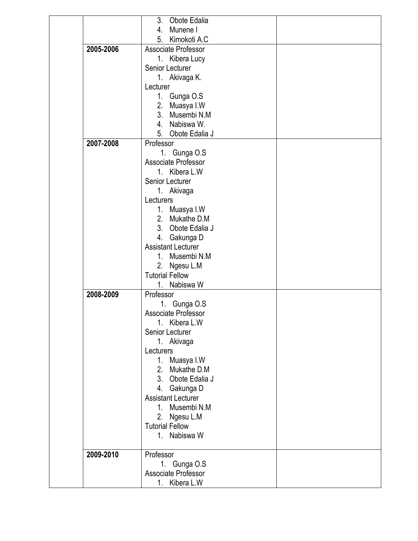|           | 3.<br>Obote Edalia          |  |
|-----------|-----------------------------|--|
|           | 4. Munene I                 |  |
|           | 5. Kimokoti A.C             |  |
| 2005-2006 | Associate Professor         |  |
|           | 1. Kibera Lucy              |  |
|           | Senior Lecturer             |  |
|           | 1. Akivaga K.               |  |
|           | Lecturer                    |  |
|           |                             |  |
|           | 1. Gunga O.S                |  |
|           | 2. Muasya I.W               |  |
|           | 3.<br>Musembi N.M           |  |
|           | 4. Nabiswa W.               |  |
|           | 5. Obote Edalia J           |  |
| 2007-2008 | Professor                   |  |
|           | 1. Gunga O.S                |  |
|           | Associate Professor         |  |
|           | 1. Kibera L.W               |  |
|           | Senior Lecturer             |  |
|           | 1. Akivaga                  |  |
|           | Lecturers                   |  |
|           | 1. Muasya I.W               |  |
|           | 2. Mukathe D.M              |  |
|           | 3. Obote Edalia J           |  |
|           | 4. Gakunga D                |  |
|           | <b>Assistant Lecturer</b>   |  |
|           | 1. Musembi N.M              |  |
|           | 2. Ngesu L.M                |  |
|           | <b>Tutorial Fellow</b>      |  |
|           | 1 <sup>1</sup><br>Nabiswa W |  |
| 2008-2009 | Professor                   |  |
|           | 1. Gunga O.S                |  |
|           | Associate Professor         |  |
|           | 1. Kibera L.W               |  |
|           |                             |  |
|           | Senior Lecturer             |  |
|           | 1. Akivaga                  |  |
|           | Lecturers                   |  |
|           | 1. Muasya I.W               |  |
|           | Mukathe D.M<br>2.           |  |
|           | 3. Obote Edalia J           |  |
|           | 4. Gakunga D                |  |
|           | <b>Assistant Lecturer</b>   |  |
|           | 1. Musembi N.M              |  |
|           | 2. Ngesu L.M                |  |
|           | <b>Tutorial Fellow</b>      |  |
|           | 1. Nabiswa W                |  |
|           |                             |  |
| 2009-2010 | Professor                   |  |
|           | 1. Gunga O.S                |  |
|           | Associate Professor         |  |
|           | 1. Kibera L.W               |  |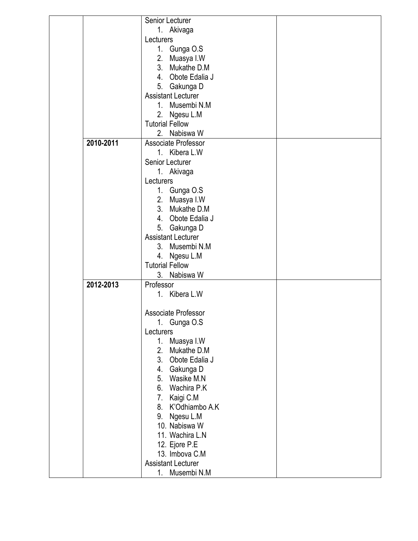|           | Senior Lecturer                  |  |
|-----------|----------------------------------|--|
|           | 1. Akivaga                       |  |
|           | Lecturers                        |  |
|           | 1. Gunga O.S                     |  |
|           | 2. Muasya I.W                    |  |
|           | 3. Mukathe D.M                   |  |
|           | 4. Obote Edalia J                |  |
|           | 5. Gakunga D                     |  |
|           | <b>Assistant Lecturer</b>        |  |
|           | 1. Musembi N.M                   |  |
|           | 2. Ngesu L.M                     |  |
|           | <b>Tutorial Fellow</b>           |  |
|           | 2. Nabiswa W                     |  |
| 2010-2011 | Associate Professor              |  |
|           | 1. Kibera L.W                    |  |
|           | Senior Lecturer                  |  |
|           | 1. Akivaga                       |  |
|           | Lecturers                        |  |
|           | 1. Gunga O.S                     |  |
|           | 2. Muasya I.W                    |  |
|           | 3. Mukathe D.M                   |  |
|           | 4. Obote Edalia J                |  |
|           | 5. Gakunga D                     |  |
|           | <b>Assistant Lecturer</b>        |  |
|           | 3. Musembi N.M                   |  |
|           | 4. Ngesu L.M                     |  |
|           | <b>Tutorial Fellow</b>           |  |
|           | 3. Nabiswa W                     |  |
| 2012-2013 | Professor                        |  |
|           | 1. Kibera L.W                    |  |
|           |                                  |  |
|           | Associate Professor              |  |
|           | 1. Gunga O.S                     |  |
|           | Lecturers                        |  |
|           | Muasya I.W<br>$1_{-}$            |  |
|           | 2.<br>Mukathe D.M                |  |
|           | 3 <sub>1</sub><br>Obote Edalia J |  |
|           | 4.<br>Gakunga D                  |  |
|           | 5.<br>Wasike M.N                 |  |
|           | 6.<br>Wachira P.K                |  |
|           | 7.<br>Kaigi C.M                  |  |
|           | K'Odhiambo A.K<br>8.             |  |
|           | Ngesu L.M<br>9.                  |  |
|           | 10. Nabiswa W                    |  |
|           | 11. Wachira L.N                  |  |
|           |                                  |  |
|           | 12. Ejore P.E<br>13. Imbova C.M  |  |
|           | <b>Assistant Lecturer</b>        |  |
|           |                                  |  |
|           | 1. Musembi N.M                   |  |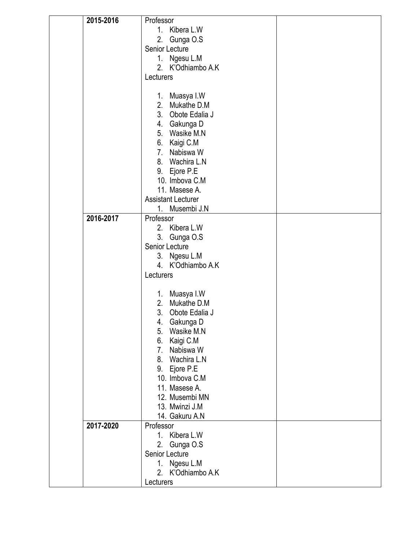| 2015-2016 | Professor                     |  |
|-----------|-------------------------------|--|
|           | 1. Kibera L.W                 |  |
|           | 2. Gunga O.S                  |  |
|           | Senior Lecture                |  |
|           | 1. Ngesu L.M                  |  |
|           | 2. K'Odhiambo A.K             |  |
|           | Lecturers                     |  |
|           |                               |  |
|           | 1. Muasya I.W                 |  |
|           | 2. Mukathe D.M                |  |
|           | 3. Obote Edalia J             |  |
|           | 4. Gakunga D                  |  |
|           | 5. Wasike M.N                 |  |
|           | 6. Kaigi C.M                  |  |
|           | 7. Nabiswa W                  |  |
|           | 8. Wachira L.N                |  |
|           | 9. Ejore P.E                  |  |
|           | 10. Imbova C.M                |  |
|           | 11. Masese A.                 |  |
|           | <b>Assistant Lecturer</b>     |  |
|           | $1_{-}$<br>Musembi J.N        |  |
| 2016-2017 | Professor                     |  |
|           | 2. Kibera L.W                 |  |
|           | 3. Gunga O.S                  |  |
|           | Senior Lecture                |  |
|           | 3. Ngesu L.M                  |  |
|           | 4. K'Odhiambo A.K             |  |
|           | Lecturers                     |  |
|           |                               |  |
|           | 1. Muasya I.W                 |  |
|           | 2. Mukathe D.M                |  |
|           | 3.<br>Obote Edalia J          |  |
|           | 4. Gakunga D<br>5. Wasike M.N |  |
|           |                               |  |
|           | 6. Kaigi C.M<br>7. Nabiswa W  |  |
|           | 8. Wachira L.N                |  |
|           | 9. Ejore P.E                  |  |
|           | 10. Imbova C.M                |  |
|           | 11. Masese A.                 |  |
|           | 12. Musembi MN                |  |
|           | 13. Mwinzi J.M                |  |
|           | 14. Gakuru A.N                |  |
| 2017-2020 | Professor                     |  |
|           | 1. Kibera L.W                 |  |
|           | 2.<br>Gunga O.S               |  |
|           | Senior Lecture                |  |
|           | Ngesu L.M<br>1.               |  |
|           | 2. K'Odhiambo A.K             |  |
|           | Lecturers                     |  |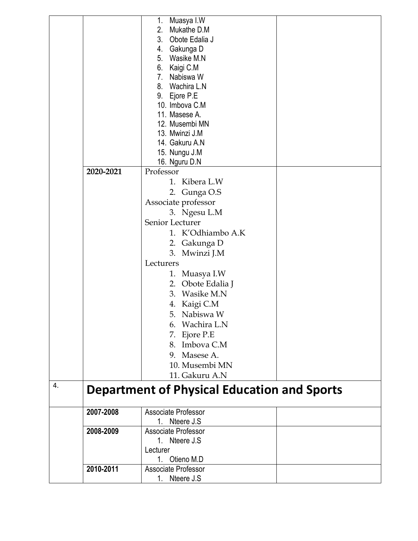|    |           | Muasya I.W<br>1.                                   |  |
|----|-----------|----------------------------------------------------|--|
|    |           | 2.<br>Mukathe D.M                                  |  |
|    |           | 3.<br>Obote Edalia J                               |  |
|    |           | 4. Gakunga D                                       |  |
|    |           | 5. Wasike M.N                                      |  |
|    |           | 6. Kaigi C.M                                       |  |
|    |           | 7. Nabiswa W                                       |  |
|    |           | 8. Wachira L.N                                     |  |
|    |           | 9. Ejore P.E                                       |  |
|    |           | 10. Imbova C.M                                     |  |
|    |           | 11. Masese A.                                      |  |
|    |           | 12. Musembi MN                                     |  |
|    |           | 13. Mwinzi J.M                                     |  |
|    |           | 14. Gakuru A.N                                     |  |
|    |           | 15. Nungu J.M                                      |  |
|    |           | 16. Nguru D.N                                      |  |
|    | 2020-2021 | Professor                                          |  |
|    |           | 1. Kibera L.W                                      |  |
|    |           | 2. Gunga O.S                                       |  |
|    |           | Associate professor                                |  |
|    |           | 3. Ngesu L.M                                       |  |
|    |           | Senior Lecturer                                    |  |
|    |           | 1. K'Odhiambo A.K                                  |  |
|    |           | 2. Gakunga D                                       |  |
|    |           | 3. Mwinzi J.M                                      |  |
|    |           | Lecturers                                          |  |
|    |           |                                                    |  |
|    |           | 1. Muasya I.W                                      |  |
|    |           | 2. Obote Edalia J                                  |  |
|    |           | 3.<br>Wasike M.N                                   |  |
|    |           | 4. Kaigi C.M                                       |  |
|    |           | 5. Nabiswa W                                       |  |
|    |           | 6. Wachira L.N                                     |  |
|    |           | 7. Ejore P.E                                       |  |
|    |           | 8. Imbova C.M                                      |  |
|    |           | 9. Masese A.                                       |  |
|    |           | 10. Musembi MN                                     |  |
|    |           | 11. Gakuru A.N                                     |  |
| 4. |           | <b>Department of Physical Education and Sports</b> |  |
|    |           |                                                    |  |
|    |           |                                                    |  |
|    | 2007-2008 | Associate Professor                                |  |
|    |           | Nteere J.S<br>1.                                   |  |
|    | 2008-2009 | Associate Professor                                |  |
|    |           | 1. Nteere J.S                                      |  |
|    |           | Lecturer                                           |  |
|    |           | 1. Otieno M.D                                      |  |
|    | 2010-2011 | Associate Professor                                |  |
|    |           | Nteere J.S<br>1.                                   |  |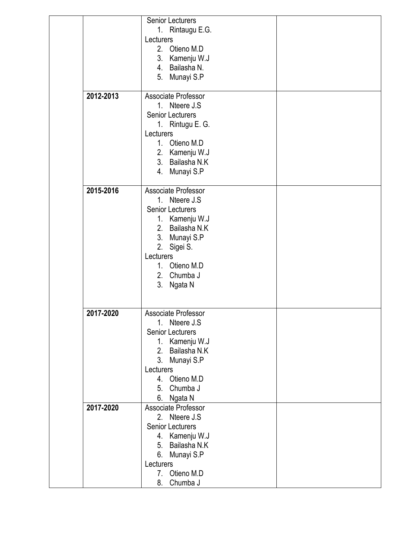|           | Senior Lecturers        |  |
|-----------|-------------------------|--|
|           | 1. Rintaugu E.G.        |  |
|           | Lecturers               |  |
|           | 2. Otieno M.D           |  |
|           | 3. Kamenju W.J          |  |
|           | 4. Bailasha N.          |  |
|           |                         |  |
|           | 5. Munayi S.P           |  |
| 2012-2013 | Associate Professor     |  |
|           | 1. Nteere J.S.          |  |
|           | <b>Senior Lecturers</b> |  |
|           |                         |  |
|           | 1. Rintugu E. G.        |  |
|           | Lecturers               |  |
|           | 1. Otieno M.D           |  |
|           | 2. Kamenju W.J          |  |
|           | 3. Bailasha N.K         |  |
|           | Munayi S.P<br>4.        |  |
|           |                         |  |
| 2015-2016 | Associate Professor     |  |
|           | 1. Nteere J.S.          |  |
|           | <b>Senior Lecturers</b> |  |
|           | 1. Kamenju W.J          |  |
|           | 2. Bailasha N.K.        |  |
|           | 3. Munayi S.P           |  |
|           | 2. Sigei S.             |  |
|           | Lecturers               |  |
|           | 1. Otieno M.D           |  |
|           |                         |  |
|           | 2. Chumba J             |  |
|           | 3. Ngata N              |  |
|           |                         |  |
| 2017-2020 | Associate Professor     |  |
|           | 1. Nteere J.S           |  |
|           | <b>Senior Lecturers</b> |  |
|           | 1. Kamenju W.J          |  |
|           | Bailasha N.K<br>2.      |  |
|           | 3. Munayi S.P           |  |
|           | Lecturers               |  |
|           |                         |  |
|           | 4. Otieno M.D           |  |
|           | Chumba J<br>5.          |  |
|           | Ngata N<br>6.           |  |
| 2017-2020 | Associate Professor     |  |
|           | 2. Nteere J.S.          |  |
|           | <b>Senior Lecturers</b> |  |
|           | 4. Kamenju W.J          |  |
|           | Bailasha N.K<br>5.      |  |
|           | 6.<br>Munayi S.P        |  |
|           | Lecturers               |  |
|           | 7. Otieno M.D           |  |
|           | Chumba J<br>8.          |  |
|           |                         |  |